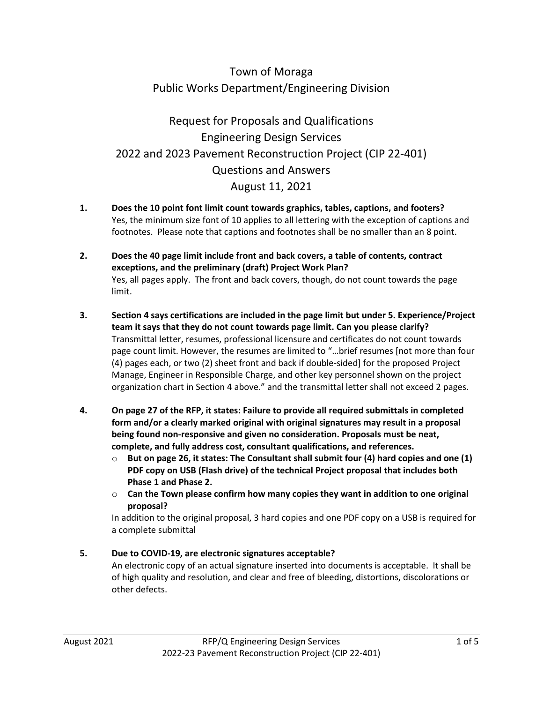# Town of Moraga Public Works Department/Engineering Division

# Request for Proposals and Qualifications Engineering Design Services 2022 and 2023 Pavement Reconstruction Project (CIP 22-401) Questions and Answers August 11, 2021

- **1. Does the 10 point font limit count towards graphics, tables, captions, and footers?**  Yes, the minimum size font of 10 applies to all lettering with the exception of captions and footnotes. Please note that captions and footnotes shall be no smaller than an 8 point.
- **2. Does the 40 page limit include front and back covers, a table of contents, contract exceptions, and the preliminary (draft) Project Work Plan?** Yes, all pages apply. The front and back covers, though, do not count towards the page limit.
- **3. Section 4 says certifications are included in the page limit but under 5. Experience/Project team it says that they do not count towards page limit. Can you please clarify?** Transmittal letter, resumes, professional licensure and certificates do not count towards page count limit. However, the resumes are limited to "…brief resumes [not more than four (4) pages each, or two (2) sheet front and back if double-sided] for the proposed Project Manage, Engineer in Responsible Charge, and other key personnel shown on the project organization chart in Section 4 above." and the transmittal letter shall not exceed 2 pages.
- **4. On page 27 of the RFP, it states: Failure to provide all required submittals in completed form and/or a clearly marked original with original signatures may result in a proposal being found non-responsive and given no consideration. Proposals must be neat, complete, and fully address cost, consultant qualifications, and references.** 
	- o **But on page 26, it states: The Consultant shall submit four (4) hard copies and one (1) PDF copy on USB (Flash drive) of the technical Project proposal that includes both Phase 1 and Phase 2.**
	- o **Can the Town please confirm how many copies they want in addition to one original proposal?**

In addition to the original proposal, 3 hard copies and one PDF copy on a USB is required for a complete submittal

### **5. Due to COVID-19, are electronic signatures acceptable?**

An electronic copy of an actual signature inserted into documents is acceptable. It shall be of high quality and resolution, and clear and free of bleeding, distortions, discolorations or other defects.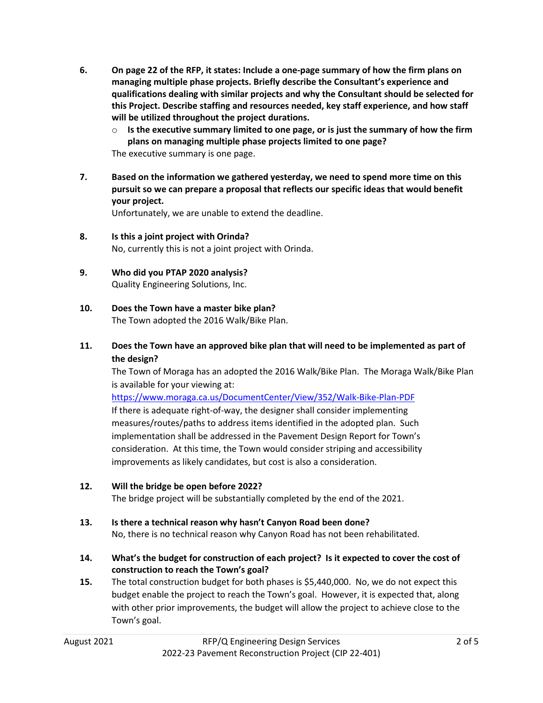- **6. On page 22 of the RFP, it states: Include a one-page summary of how the firm plans on managing multiple phase projects. Briefly describe the Consultant's experience and qualifications dealing with similar projects and why the Consultant should be selected for this Project. Describe staffing and resources needed, key staff experience, and how staff will be utilized throughout the project durations.**
	- o **Is the executive summary limited to one page, or is just the summary of how the firm plans on managing multiple phase projects limited to one page?** The executive summary is one page.
- **7. Based on the information we gathered yesterday, we need to spend more time on this pursuit so we can prepare a proposal that reflects our specific ideas that would benefit your project.**

Unfortunately, we are unable to extend the deadline.

- **8. Is this a joint project with Orinda?** No, currently this is not a joint project with Orinda.
- **9. Who did you PTAP 2020 analysis?** Quality Engineering Solutions, Inc.
- **10. Does the Town have a master bike plan?** The Town adopted the 2016 Walk/Bike Plan.
- **11. Does the Town have an approved bike plan that will need to be implemented as part of the design?**

The Town of Moraga has an adopted the 2016 Walk/Bike Plan. The Moraga Walk/Bike Plan is available for your viewing at:

<https://www.moraga.ca.us/DocumentCenter/View/352/Walk-Bike-Plan-PDF>

If there is adequate right-of-way, the designer shall consider implementing measures/routes/paths to address items identified in the adopted plan. Such implementation shall be addressed in the Pavement Design Report for Town's consideration. At this time, the Town would consider striping and accessibility improvements as likely candidates, but cost is also a consideration.

**12. Will the bridge be open before 2022?**

The bridge project will be substantially completed by the end of the 2021.

**13. Is there a technical reason why hasn't Canyon Road been done?**

No, there is no technical reason why Canyon Road has not been rehabilitated.

- **14. What's the budget for construction of each project? Is it expected to cover the cost of construction to reach the Town's goal?**
- **15.** The total construction budget for both phases is \$5,440,000. No, we do not expect this budget enable the project to reach the Town's goal. However, it is expected that, along with other prior improvements, the budget will allow the project to achieve close to the Town's goal.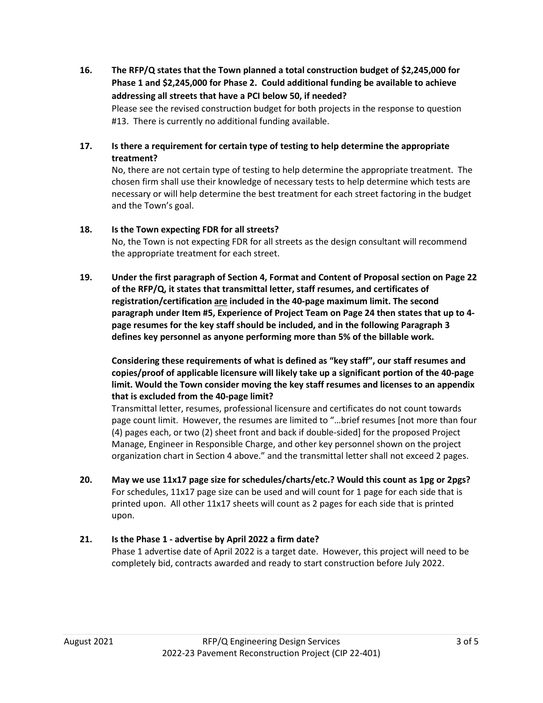**16. The RFP/Q states that the Town planned a total construction budget of \$2,245,000 for Phase 1 and \$2,245,000 for Phase 2. Could additional funding be available to achieve addressing all streets that have a PCI below 50, if needed?** Please see the revised construction budget for both projects in the response to question

#13. There is currently no additional funding available.

#### **17. Is there a requirement for certain type of testing to help determine the appropriate treatment?**

No, there are not certain type of testing to help determine the appropriate treatment. The chosen firm shall use their knowledge of necessary tests to help determine which tests are necessary or will help determine the best treatment for each street factoring in the budget and the Town's goal.

#### **18. Is the Town expecting FDR for all streets?**

No, the Town is not expecting FDR for all streets as the design consultant will recommend the appropriate treatment for each street.

**19. Under the first paragraph of Section 4, Format and Content of Proposal section on Page 22 of the RFP/Q, it states that transmittal letter, staff resumes, and certificates of registration/certification are included in the 40-page maximum limit. The second paragraph under Item #5, Experience of Project Team on Page 24 then states that up to 4 page resumes for the key staff should be included, and in the following Paragraph 3 defines key personnel as anyone performing more than 5% of the billable work.**

**Considering these requirements of what is defined as "key staff", our staff resumes and copies/proof of applicable licensure will likely take up a significant portion of the 40-page limit. Would the Town consider moving the key staff resumes and licenses to an appendix that is excluded from the 40-page limit?**

Transmittal letter, resumes, professional licensure and certificates do not count towards page count limit. However, the resumes are limited to "…brief resumes [not more than four (4) pages each, or two (2) sheet front and back if double-sided] for the proposed Project Manage, Engineer in Responsible Charge, and other key personnel shown on the project organization chart in Section 4 above." and the transmittal letter shall not exceed 2 pages.

**20. May we use 11x17 page size for schedules/charts/etc.? Would this count as 1pg or 2pgs?** For schedules, 11x17 page size can be used and will count for 1 page for each side that is printed upon. All other 11x17 sheets will count as 2 pages for each side that is printed upon.

### **21. Is the Phase 1 - advertise by April 2022 a firm date?**

Phase 1 advertise date of April 2022 is a target date. However, this project will need to be completely bid, contracts awarded and ready to start construction before July 2022.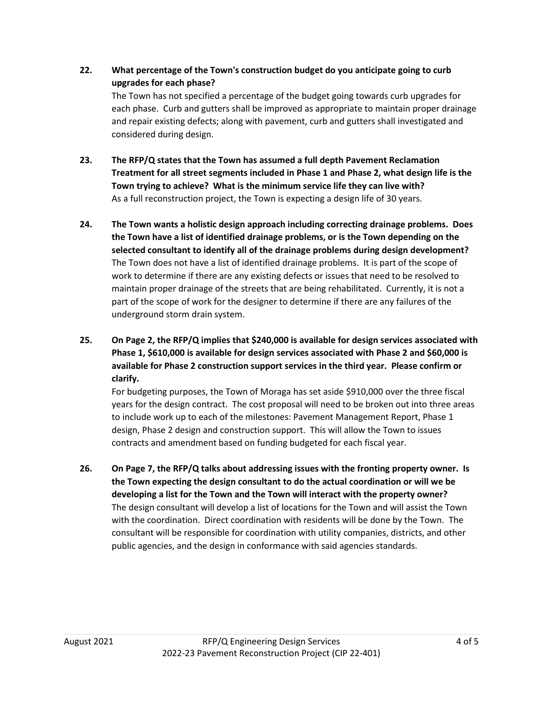- **22. What percentage of the Town's construction budget do you anticipate going to curb upgrades for each phase?** The Town has not specified a percentage of the budget going towards curb upgrades for each phase. Curb and gutters shall be improved as appropriate to maintain proper drainage and repair existing defects; along with pavement, curb and gutters shall investigated and considered during design.
- **23. The RFP/Q states that the Town has assumed a full depth Pavement Reclamation Treatment for all street segments included in Phase 1 and Phase 2, what design life is the Town trying to achieve? What is the minimum service life they can live with?** As a full reconstruction project, the Town is expecting a design life of 30 years.
- **24. The Town wants a holistic design approach including correcting drainage problems. Does the Town have a list of identified drainage problems, or is the Town depending on the selected consultant to identify all of the drainage problems during design development?** The Town does not have a list of identified drainage problems. It is part of the scope of work to determine if there are any existing defects or issues that need to be resolved to maintain proper drainage of the streets that are being rehabilitated. Currently, it is not a part of the scope of work for the designer to determine if there are any failures of the underground storm drain system.
- **25. On Page 2, the RFP/Q implies that \$240,000 is available for design services associated with Phase 1, \$610,000 is available for design services associated with Phase 2 and \$60,000 is available for Phase 2 construction support services in the third year. Please confirm or clarify.**

For budgeting purposes, the Town of Moraga has set aside \$910,000 over the three fiscal years for the design contract. The cost proposal will need to be broken out into three areas to include work up to each of the milestones: Pavement Management Report, Phase 1 design, Phase 2 design and construction support. This will allow the Town to issues contracts and amendment based on funding budgeted for each fiscal year.

**26. On Page 7, the RFP/Q talks about addressing issues with the fronting property owner. Is the Town expecting the design consultant to do the actual coordination or will we be developing a list for the Town and the Town will interact with the property owner?** The design consultant will develop a list of locations for the Town and will assist the Town with the coordination. Direct coordination with residents will be done by the Town. The consultant will be responsible for coordination with utility companies, districts, and other public agencies, and the design in conformance with said agencies standards.